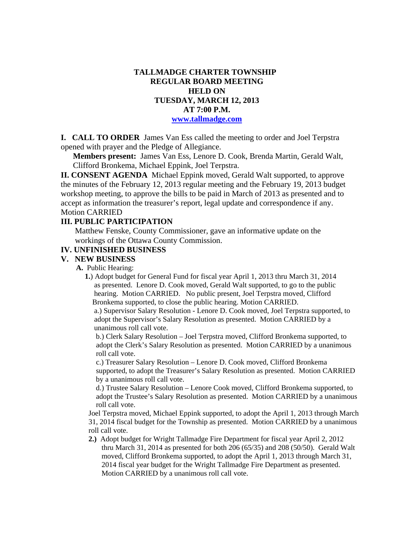# **TALLMADGE CHARTER TOWNSHIP REGULAR BOARD MEETING HELD ON TUESDAY, MARCH 12, 2013 AT 7:00 P.M. www.tallmadge.com**

**I. CALL TO ORDER** James Van Ess called the meeting to order and Joel Terpstra opened with prayer and the Pledge of Allegiance.

**Members present:** James Van Ess, Lenore D. Cook, Brenda Martin, Gerald Walt, Clifford Bronkema, Michael Eppink, Joel Terpstra.

**II. CONSENT AGENDA** Michael Eppink moved, Gerald Walt supported, to approve the minutes of the February 12, 2013 regular meeting and the February 19, 2013 budget workshop meeting, to approve the bills to be paid in March of 2013 as presented and to accept as information the treasurer's report, legal update and correspondence if any. Motion CARRIED

#### **III. PUBLIC PARTICIPATION**

Matthew Fenske, County Commissioner, gave an informative update on the workings of the Ottawa County Commission.

## **IV. UNFINISHED BUSINESS**

#### **V. NEW BUSINESS**

**A.** Public Hearing:

 **1.**) Adopt budget for General Fund for fiscal year April 1, 2013 thru March 31, 2014 as presented. Lenore D. Cook moved, Gerald Walt supported, to go to the public hearing. Motion CARRIED. No public present, Joel Terpstra moved, Clifford Bronkema supported, to close the public hearing. Motion CARRIED.

 a.) Supervisor Salary Resolution - Lenore D. Cook moved, Joel Terpstra supported, to adopt the Supervisor's Salary Resolution as presented. Motion CARRIED by a unanimous roll call vote.

 b.) Clerk Salary Resolution – Joel Terpstra moved, Clifford Bronkema supported, to adopt the Clerk's Salary Resolution as presented. Motion CARRIED by a unanimous roll call vote.

 c.) Treasurer Salary Resolution – Lenore D. Cook moved, Clifford Bronkema supported, to adopt the Treasurer's Salary Resolution as presented. Motion CARRIED by a unanimous roll call vote.

 d.) Trustee Salary Resolution – Lenore Cook moved, Clifford Bronkema supported, to adopt the Trustee's Salary Resolution as presented. Motion CARRIED by a unanimous roll call vote.

 Joel Terpstra moved, Michael Eppink supported, to adopt the April 1, 2013 through March 31, 2014 fiscal budget for the Township as presented. Motion CARRIED by a unanimous roll call vote.

 **2.)** Adopt budget for Wright Tallmadge Fire Department for fiscal year April 2, 2012 thru March 31, 2014 as presented for both 206 (65/35) and 208 (50/50). Gerald Walt moved, Clifford Bronkema supported, to adopt the April 1, 2013 through March 31, 2014 fiscal year budget for the Wright Tallmadge Fire Department as presented. Motion CARRIED by a unanimous roll call vote.